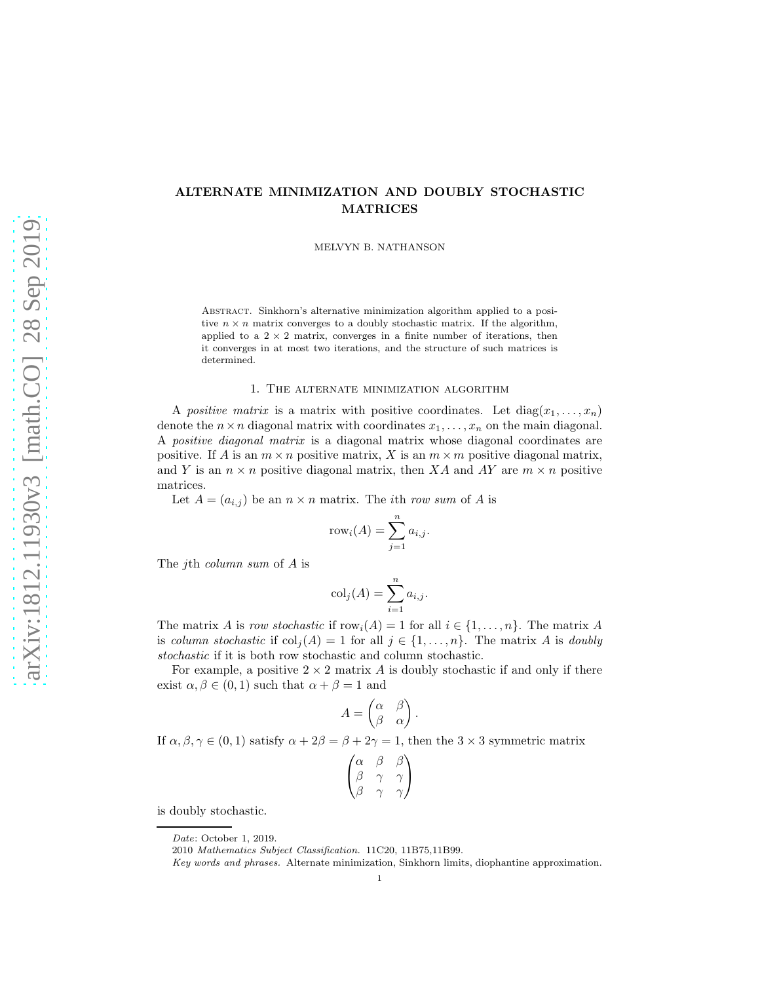# ALTERNATE MINIMIZATION AND DOUBLY STOCHASTIC MATRICES

MELVYN B. NATHANSON

Abstract. Sinkhorn's alternative minimization algorithm applied to a positive  $n \times n$  matrix converges to a doubly stochastic matrix. If the algorithm, applied to a  $2 \times 2$  matrix, converges in a finite number of iterations, then it converges in at most two iterations, and the structure of such matrices is determined.

#### 1. The alternate minimization algorithm

A *positive matrix* is a matrix with positive coordinates. Let  $diag(x_1, \ldots, x_n)$ denote the  $n \times n$  diagonal matrix with coordinates  $x_1, \ldots, x_n$  on the main diagonal. A *positive diagonal matrix* is a diagonal matrix whose diagonal coordinates are positive. If A is an  $m \times n$  positive matrix, X is an  $m \times m$  positive diagonal matrix, and Y is an  $n \times n$  positive diagonal matrix, then XA and AY are  $m \times n$  positive matrices.

Let  $A = (a_{i,j})$  be an  $n \times n$  matrix. The *i*th *row sum* of A is

$$
rowi(A) = \sum_{j=1}^{n} a_{i,j}.
$$

The jth *column sum* of A is

$$
colj(A) = \sum_{i=1}^{n} a_{i,j}.
$$

The matrix A is *row stochastic* if  $row_i(A) = 1$  for all  $i \in \{1, ..., n\}$ . The matrix A is *column stochastic* if  $col_i(A) = 1$  for all  $j \in \{1, ..., n\}$ . The matrix A is *doubly stochastic* if it is both row stochastic and column stochastic.

For example, a positive  $2 \times 2$  matrix A is doubly stochastic if and only if there exist  $\alpha, \beta \in (0, 1)$  such that  $\alpha + \beta = 1$  and

$$
A = \begin{pmatrix} \alpha & \beta \\ \beta & \alpha \end{pmatrix}
$$

.

If  $\alpha, \beta, \gamma \in (0, 1)$  satisfy  $\alpha + 2\beta = \beta + 2\gamma = 1$ , then the  $3 \times 3$  symmetric matrix

| $\alpha$ | B | ß |
|----------|---|---|
| ß        |   |   |
| ß        | γ |   |
|          |   |   |

is doubly stochastic.

Date: October 1, 2019.

<sup>2010</sup> Mathematics Subject Classification. 11C20, 11B75,11B99.

Key words and phrases. Alternate minimization, Sinkhorn limits, diophantine approximation.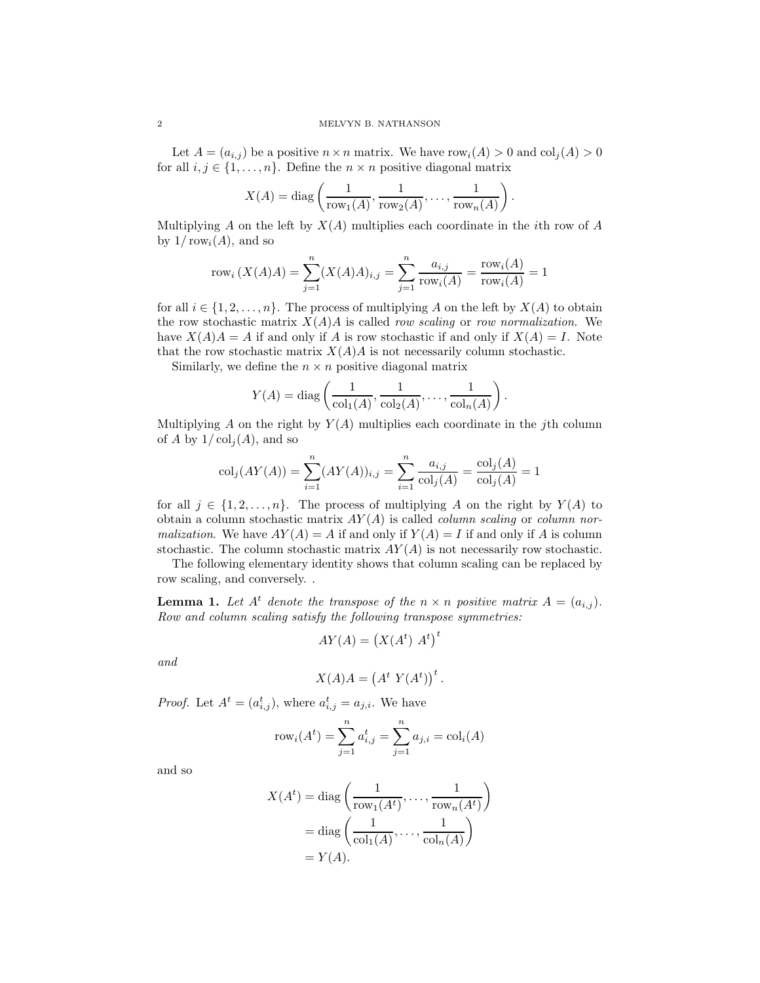Let  $A = (a_{i,j})$  be a positive  $n \times n$  matrix. We have  $row<sub>i</sub>(A) > 0$  and  $col<sub>i</sub>(A) > 0$ for all  $i, j \in \{1, \ldots, n\}$ . Define the  $n \times n$  positive diagonal matrix

$$
X(A) = \text{diag}\left(\frac{1}{\text{row}_1(A)}, \frac{1}{\text{row}_2(A)}, \dots, \frac{1}{\text{row}_n(A)}\right).
$$

Multiplying A on the left by  $X(A)$  multiplies each coordinate in the *i*th row of A by  $1/\text{row}_i(A)$ , and so

$$
row_i(X(A)A) = \sum_{j=1}^{n} (X(A)A)_{i,j} = \sum_{j=1}^{n} \frac{a_{i,j}}{row_i(A)} = \frac{row_i(A)}{row_i(A)} = 1
$$

for all  $i \in \{1, 2, \ldots, n\}$ . The process of multiplying A on the left by  $X(A)$  to obtain the row stochastic matrix  $X(A)A$  is called *row scaling* or *row normalization*. We have  $X(A)A = A$  if and only if A is row stochastic if and only if  $X(A) = I$ . Note that the row stochastic matrix  $X(A)A$  is not necessarily column stochastic.

Similarly, we define the  $n \times n$  positive diagonal matrix

$$
Y(A) = \text{diag}\left(\frac{1}{\text{col}_1(A)}, \frac{1}{\text{col}_2(A)}, \dots, \frac{1}{\text{col}_n(A)}\right)
$$

.

Multiplying  $A$  on the right by  $Y(A)$  multiplies each coordinate in the jth column of A by  $1/\text{col}_i(A)$ , and so

$$
col_j(AY(A)) = \sum_{i=1}^{n} (AY(A))_{i,j} = \sum_{i=1}^{n} \frac{a_{i,j}}{col_j(A)} = \frac{col_j(A)}{col_j(A)} = 1
$$

for all  $j \in \{1, 2, \ldots, n\}$ . The process of multiplying A on the right by  $Y(A)$  to obtain a column stochastic matrix AY (A) is called *column scaling* or *column normalization*. We have  $AY(A) = A$  if and only if  $Y(A) = I$  if and only if A is column stochastic. The column stochastic matrix  $AY(A)$  is not necessarily row stochastic.

The following elementary identity shows that column scaling can be replaced by row scaling, and conversely. .

**Lemma 1.** Let  $A^t$  denote the transpose of the  $n \times n$  positive matrix  $A = (a_{i,j})$ . *Row and column scaling satisfy the following transpose symmetries:*

$$
AY(A) = \left(X(A^t) \; A^t\right)^t
$$

*and*

$$
X(A)A = (At Y(At))t.
$$

*Proof.* Let  $A^t = (a_{i,j}^t)$ , where  $a_{i,j}^t = a_{j,i}$ . We have

$$
rowi(At) = \sum_{j=1}^{n} ai,jt = \sum_{j=1}^{n} aj,i = coli(A)
$$

and so

$$
X(At) = diag\left(\frac{1}{row_1(A^t)}, \dots, \frac{1}{row_n(A^t)}\right)
$$

$$
= diag\left(\frac{1}{col_1(A)}, \dots, \frac{1}{col_n(A)}\right)
$$

$$
= Y(A).
$$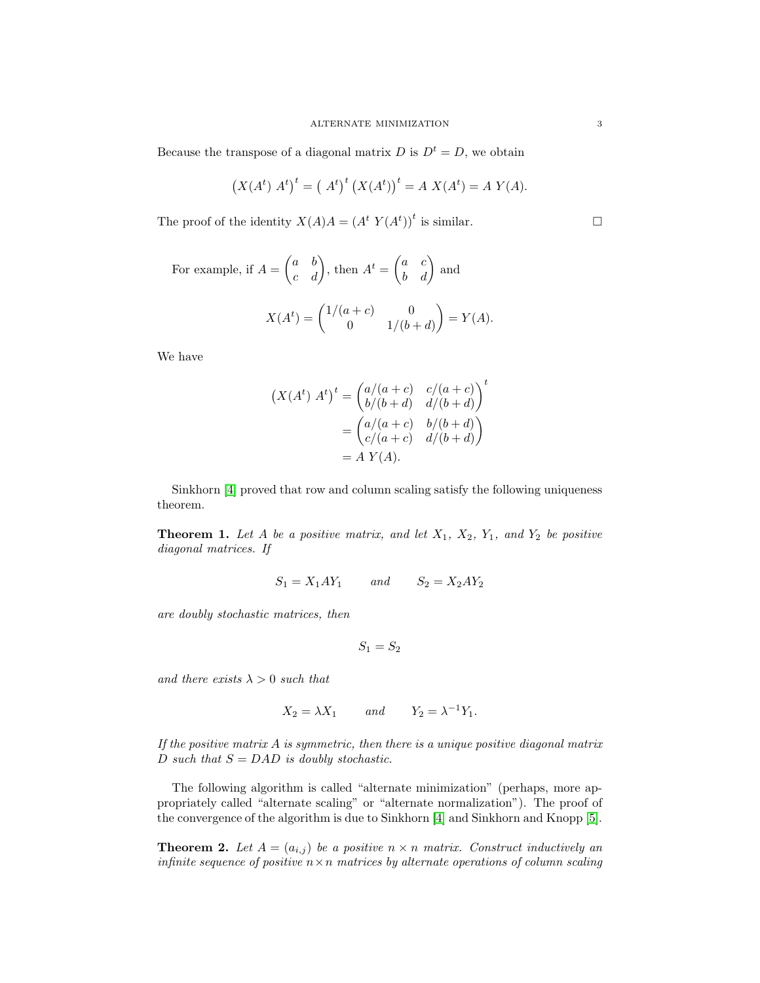Because the transpose of a diagonal matrix D is  $D^t = D$ , we obtain

$$
(X(At) At)t = (At)t (X(At))t = A X(At) = A Y(A).
$$

The proof of the identity  $X(A)A = (A^t Y(A^t))^t$  is similar.

For example, if 
$$
A = \begin{pmatrix} a & b \\ c & d \end{pmatrix}
$$
, then  $A^t = \begin{pmatrix} a & c \\ b & d \end{pmatrix}$  and  
\n
$$
X(A^t) = \begin{pmatrix} 1/(a+c) & 0 \\ 0 & 1/(b+d) \end{pmatrix} = Y(A).
$$

We have

$$
(X(At) At)t = \begin{pmatrix} a/(a+c) & c/(a+c) \\ b/(b+d) & d/(b+d) \end{pmatrix}t
$$

$$
= \begin{pmatrix} a/(a+c) & b/(b+d) \\ c/(a+c) & d/(b+d) \end{pmatrix}= A Y(A).
$$

Sinkhorn [\[4\]](#page-13-0) proved that row and column scaling satisfy the following uniqueness theorem.

<span id="page-2-0"></span>**Theorem 1.** Let A be a positive matrix, and let  $X_1$ ,  $X_2$ ,  $Y_1$ , and  $Y_2$  be positive *diagonal matrices. If*

$$
S_1 = X_1 A Y_1 \qquad and \qquad S_2 = X_2 A Y_2
$$

*are doubly stochastic matrices, then*

 $S_1 = S_2$ 

*and there exists*  $\lambda > 0$  *such that* 

$$
X_2 = \lambda X_1 \qquad \text{and} \qquad Y_2 = \lambda^{-1} Y_1.
$$

*If the positive matrix* A *is symmetric, then there is a unique positive diagonal matrix*  $D$  *such that*  $S = DAD$  *is doubly stochastic.* 

The following algorithm is called "alternate minimization" (perhaps, more appropriately called "alternate scaling" or "alternate normalization"). The proof of the convergence of the algorithm is due to Sinkhorn [\[4\]](#page-13-0) and Sinkhorn and Knopp [\[5\]](#page-14-0).

<span id="page-2-1"></span>**Theorem 2.** Let  $A = (a_{i,j})$  be a positive  $n \times n$  matrix. Construct inductively an *infinite sequence of positive*  $n \times n$  *matrices by alternate operations of column scaling*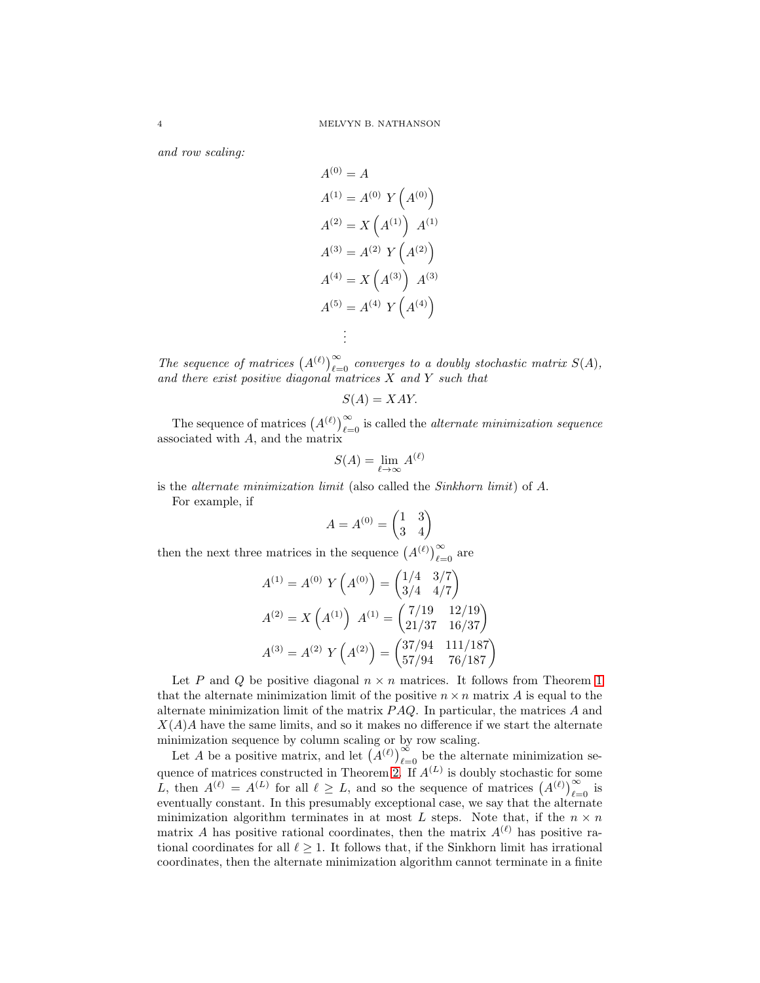*and row scaling:*

$$
A^{(0)} = A
$$
  
\n
$$
A^{(1)} = A^{(0)} Y (A^{(0)})
$$
  
\n
$$
A^{(2)} = X (A^{(1)}) A^{(1)}
$$
  
\n
$$
A^{(3)} = A^{(2)} Y (A^{(2)})
$$
  
\n
$$
A^{(4)} = X (A^{(3)}) A^{(3)}
$$
  
\n
$$
A^{(5)} = A^{(4)} Y (A^{(4)})
$$
  
\n:  
\n:

The sequence of matrices  $(A^{(\ell)})_{\ell=0}^{\infty}$  converges to a doubly stochastic matrix  $S(A)$ , *and there exist positive diagonal matrices* X *and* Y *such that*

$$
S(A) = XAY.
$$

The sequence of matrices  $(A^{(\ell)})_{\ell=0}^{\infty}$  is called the *alternate minimization sequence* associated with A, and the matrix

$$
S(A) = \lim_{\ell \to \infty} A^{(\ell)}
$$

is the *alternate minimization limit* (also called the *Sinkhorn limit*) of A.

For example, if

$$
A = A^{(0)} = \begin{pmatrix} 1 & 3 \\ 3 & 4 \end{pmatrix}
$$

then the next three matrices in the sequence  $(A^{(\ell)})_{\ell=0}^{\infty}$  are

$$
A^{(1)} = A^{(0)} Y \left( A^{(0)} \right) = \begin{pmatrix} 1/4 & 3/7 \\ 3/4 & 4/7 \end{pmatrix}
$$

$$
A^{(2)} = X \left( A^{(1)} \right) A^{(1)} = \begin{pmatrix} 7/19 & 12/19 \\ 21/37 & 16/37 \end{pmatrix}
$$

$$
A^{(3)} = A^{(2)} Y \left( A^{(2)} \right) = \begin{pmatrix} 37/94 & 111/187 \\ 57/94 & 76/187 \end{pmatrix}
$$

Let P and Q be positive diagonal  $n \times n$  matrices. It follows from Theorem [1](#page-2-0) that the alternate minimization limit of the positive  $n \times n$  matrix A is equal to the alternate minimization limit of the matrix  $PAQ$ . In particular, the matrices A and  $X(A)A$  have the same limits, and so it makes no difference if we start the alternate minimization sequence by column scaling or by row scaling.

Let A be a positive matrix, and let  $(A^{(\ell)})_{\ell=0}^{\infty}$  be the alternate minimization se-quence of matrices constructed in Theorem [2.](#page-2-1) If  $A^{(L)}$  is doubly stochastic for some L, then  $A^{(\ell)} = A^{(L)}$  for all  $\ell \geq L$ , and so the sequence of matrices  $(A^{(\ell)})_{\ell=0}^{\infty}$  is eventually constant. In this presumably exceptional case, we say that the alternate minimization algorithm terminates in at most L steps. Note that, if the  $n \times n$ matrix A has positive rational coordinates, then the matrix  $A^{(\ell)}$  has positive rational coordinates for all  $\ell \geq 1$ . It follows that, if the Sinkhorn limit has irrational coordinates, then the alternate minimization algorithm cannot terminate in a finite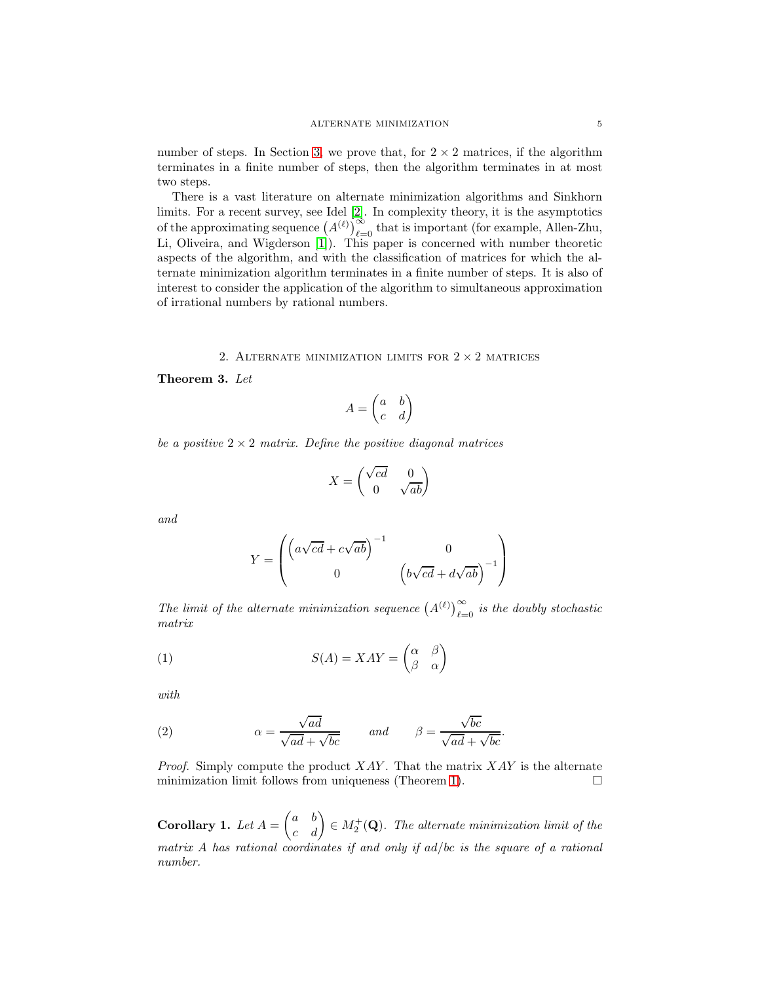number of steps. In Section [3,](#page-6-0) we prove that, for  $2 \times 2$  matrices, if the algorithm terminates in a finite number of steps, then the algorithm terminates in at most two steps.

There is a vast literature on alternate minimization algorithms and Sinkhorn limits. For a recent survey, see Idel [\[2\]](#page-13-1). In complexity theory, it is the asymptotics of the approximating sequence  $(A^{(\ell)})_{\ell=0}^{\infty}$  that is important (for example, Allen-Zhu, Li, Oliveira, and Wigderson [\[1\]](#page-13-2)). This paper is concerned with number theoretic aspects of the algorithm, and with the classification of matrices for which the alternate minimization algorithm terminates in a finite number of steps. It is also of interest to consider the application of the algorithm to simultaneous approximation of irrational numbers by rational numbers.

### 2. ALTERNATE MINIMIZATION LIMITS FOR  $2 \times 2$  matrices

<span id="page-4-0"></span>Theorem 3. *Let*

$$
A = \begin{pmatrix} a & b \\ c & d \end{pmatrix}
$$

*be a positive*  $2 \times 2$  *matrix. Define the positive diagonal matrices* 

$$
X = \begin{pmatrix} \sqrt{cd} & 0\\ 0 & \sqrt{ab} \end{pmatrix}
$$

*and*

<span id="page-4-1"></span>
$$
Y = \begin{pmatrix} \left( a\sqrt{cd} + c\sqrt{ab} \right)^{-1} & 0\\ 0 & \left( b\sqrt{cd} + d\sqrt{ab} \right)^{-1} \end{pmatrix}
$$

The limit of the alternate minimization sequence  $(A^{(\ell)})_{\ell=0}^{\infty}$  is the doubly stochastic *matrix*

(1) 
$$
S(A) = XAY = \begin{pmatrix} \alpha & \beta \\ \beta & \alpha \end{pmatrix}
$$

*with*

<span id="page-4-2"></span>(2) 
$$
\alpha = \frac{\sqrt{ad}}{\sqrt{ad} + \sqrt{bc}} \quad \text{and} \quad \beta = \frac{\sqrt{bc}}{\sqrt{ad} + \sqrt{bc}}.
$$

*Proof.* Simply compute the product  $XAY$ . That the matrix  $XAY$  is the alternate minimization limit follows from uniqueness (Theorem [1\)](#page-2-0).  $\Box$ 

**Corollary 1.** Let  $A = \begin{pmatrix} a & b \\ c & d \end{pmatrix} \in M_2^+(\mathbf{Q})$ . The alternate minimization limit of the *matrix* A *has rational coordinates if and only if* ad/bc *is the square of a rational number.*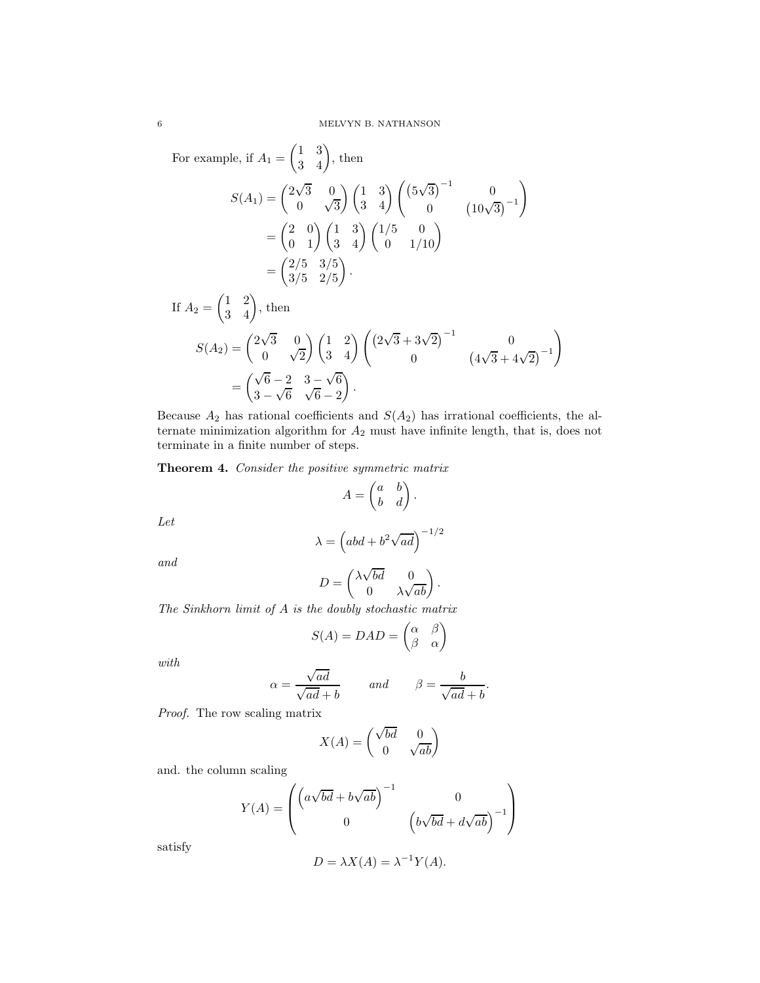For example, if  $A_1 = \begin{pmatrix} 1 & 3 \\ 3 & 4 \end{pmatrix}$ , then

$$
S(A_1) = \begin{pmatrix} 2\sqrt{3} & 0 \\ 0 & \sqrt{3} \end{pmatrix} \begin{pmatrix} 1 & 3 \\ 3 & 4 \end{pmatrix} \begin{pmatrix} (5\sqrt{3})^{-1} & 0 \\ 0 & (10\sqrt{3})^{-1} \end{pmatrix}
$$

$$
= \begin{pmatrix} 2 & 0 \\ 0 & 1 \end{pmatrix} \begin{pmatrix} 1 & 3 \\ 3 & 4 \end{pmatrix} \begin{pmatrix} 1/5 & 0 \\ 0 & 1/10 \end{pmatrix}
$$

$$
= \begin{pmatrix} 2/5 & 3/5 \\ 3/5 & 2/5 \end{pmatrix}.
$$
If  $A_2 = \begin{pmatrix} 1 & 2 \\ 3 & 4 \end{pmatrix}$ , then
$$
S(A_2) = \begin{pmatrix} 2\sqrt{3} & 0 \\ 0 & 2 \end{pmatrix} \begin{pmatrix} 1 & 2 \\ 0 & 2 \end{pmatrix} \begin{pmatrix} (2\sqrt{3} + 3\sqrt{2})^{-1} & 0 \\ 0 & 0 & 0 \end{pmatrix}
$$

$$
S(A_2) = \begin{pmatrix} 2\sqrt{3} & 0 \\ 0 & \sqrt{2} \end{pmatrix} \begin{pmatrix} 1 & 2 \\ 3 & 4 \end{pmatrix} \begin{pmatrix} (2\sqrt{3} + 3\sqrt{2})^{-1} & 0 \\ 0 & (4\sqrt{3} + 4\sqrt{2})^{-1} \end{pmatrix}
$$

$$
= \begin{pmatrix} \sqrt{6} - 2 & 3 - \sqrt{6} \\ 3 - \sqrt{6} & \sqrt{6} - 2 \end{pmatrix}.
$$

Because  $A_2$  has rational coefficients and  $S(A_2)$  has irrational coefficients, the alternate minimization algorithm for  $A_2$  must have infinite length, that is, does not terminate in a finite number of steps.

Theorem 4. *Consider the positive symmetric matrix*

$$
A = \begin{pmatrix} a & b \\ b & d \end{pmatrix}.
$$

*Let*

$$
\lambda = \left( abd + b^2 \sqrt{ad} \right)^{-1/2}
$$

*and*

$$
D = \begin{pmatrix} \lambda \sqrt{bd} & 0 \\ 0 & \lambda \sqrt{ab} \end{pmatrix}.
$$

*The Sinkhorn limit of* A *is the doubly stochastic matrix*

$$
S(A) = DAD = \begin{pmatrix} \alpha & \beta \\ \beta & \alpha \end{pmatrix}
$$

*with*

$$
\alpha = \frac{\sqrt{ad}}{\sqrt{ad} + b} \qquad and \qquad \beta = \frac{b}{\sqrt{ad} + b}.
$$

*Proof.* The row scaling matrix

$$
X(A) = \begin{pmatrix} \sqrt{bd} & 0\\ 0 & \sqrt{ab} \end{pmatrix}
$$

and. the column scaling

$$
Y(A) = \begin{pmatrix} \left(a\sqrt{bd} + b\sqrt{ab}\right)^{-1} & 0\\ 0 & \left(b\sqrt{bd} + d\sqrt{ab}\right)^{-1} \end{pmatrix}
$$

satisfy

$$
D = \lambda X(A) = \lambda^{-1} Y(A).
$$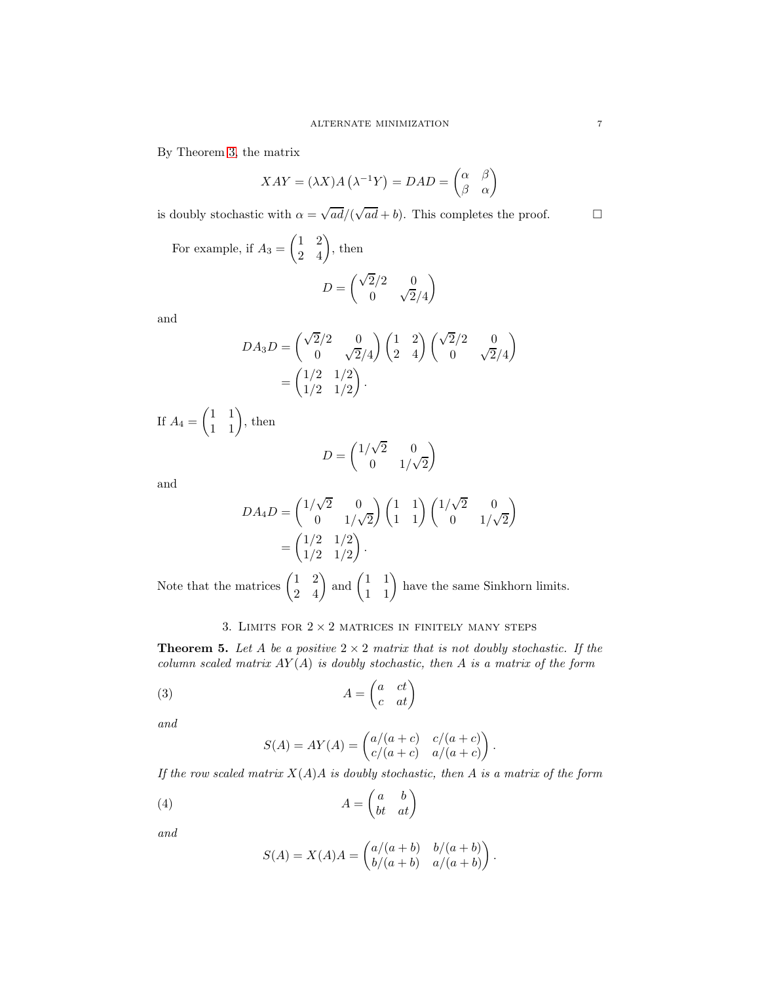By Theorem [3,](#page-4-0) the matrix

$$
XAY = (\lambda X)A\left(\lambda^{-1}Y\right) = DAD = \begin{pmatrix} \alpha & \beta \\ \beta & \alpha \end{pmatrix}
$$

is doubly stochastic with  $\alpha = \sqrt{ad}/(\sqrt{ad} + b)$ . This completes the proof.

For example, if  $A_3 = \begin{pmatrix} 1 & 2 \\ 2 & 4 \end{pmatrix}$ , then

$$
D=\begin{pmatrix} \sqrt{2}/2 & 0 \\ 0 & \sqrt{2}/4 \end{pmatrix}
$$

and

$$
DA_3D = \begin{pmatrix} \sqrt{2}/2 & 0 \\ 0 & \sqrt{2}/4 \end{pmatrix} \begin{pmatrix} 1 & 2 \\ 2 & 4 \end{pmatrix} \begin{pmatrix} \sqrt{2}/2 & 0 \\ 0 & \sqrt{2}/4 \end{pmatrix} \\
= \begin{pmatrix} 1/2 & 1/2 \\ 1/2 & 1/2 \end{pmatrix}.
$$

If  $A_4 = \begin{pmatrix} 1 & 1 \\ 1 & 1 \end{pmatrix}$ , then

$$
D = \begin{pmatrix} 1/\sqrt{2} & 0\\ 0 & 1/\sqrt{2} \end{pmatrix}
$$

and

$$
DA_4D = \begin{pmatrix} 1/\sqrt{2} & 0 \\ 0 & 1/\sqrt{2} \end{pmatrix} \begin{pmatrix} 1 & 1 \\ 1 & 1 \end{pmatrix} \begin{pmatrix} 1/\sqrt{2} & 0 \\ 0 & 1/\sqrt{2} \end{pmatrix} \\ = \begin{pmatrix} 1/2 & 1/2 \\ 1/2 & 1/2 \end{pmatrix}.
$$

Note that the matrices  $\begin{pmatrix} 1 & 2 \\ 2 & 4 \end{pmatrix}$  and  $\begin{pmatrix} 1 & 1 \\ 1 & 1 \end{pmatrix}$  have the same Sinkhorn limits.

## 3. LIMITS FOR  $2\times 2$  MATRICES IN FINITELY MANY STEPS

<span id="page-6-3"></span><span id="page-6-0"></span>**Theorem 5.** Let A be a positive  $2 \times 2$  matrix that is not doubly stochastic. If the *column scaled matrix* AY (A) *is doubly stochastic, then* A *is a matrix of the form*

$$
(3) \t\t A = \begin{pmatrix} a & ct \\ c & at \end{pmatrix}
$$

*and*

<span id="page-6-1"></span>
$$
S(A) = AY(A) = \begin{pmatrix} a/(a+c) & c/(a+c) \\ c/(a+c) & a/(a+c) \end{pmatrix}.
$$

*If the row scaled matrix* X(A)A *is doubly stochastic, then* A *is a matrix of the form*

$$
(4) \t\t A = \begin{pmatrix} a & b \\ bt & at \end{pmatrix}
$$

*and*

<span id="page-6-2"></span>
$$
S(A) = X(A)A = \begin{pmatrix} a/(a+b) & b/(a+b) \\ b/(a+b) & a/(a+b) \end{pmatrix}.
$$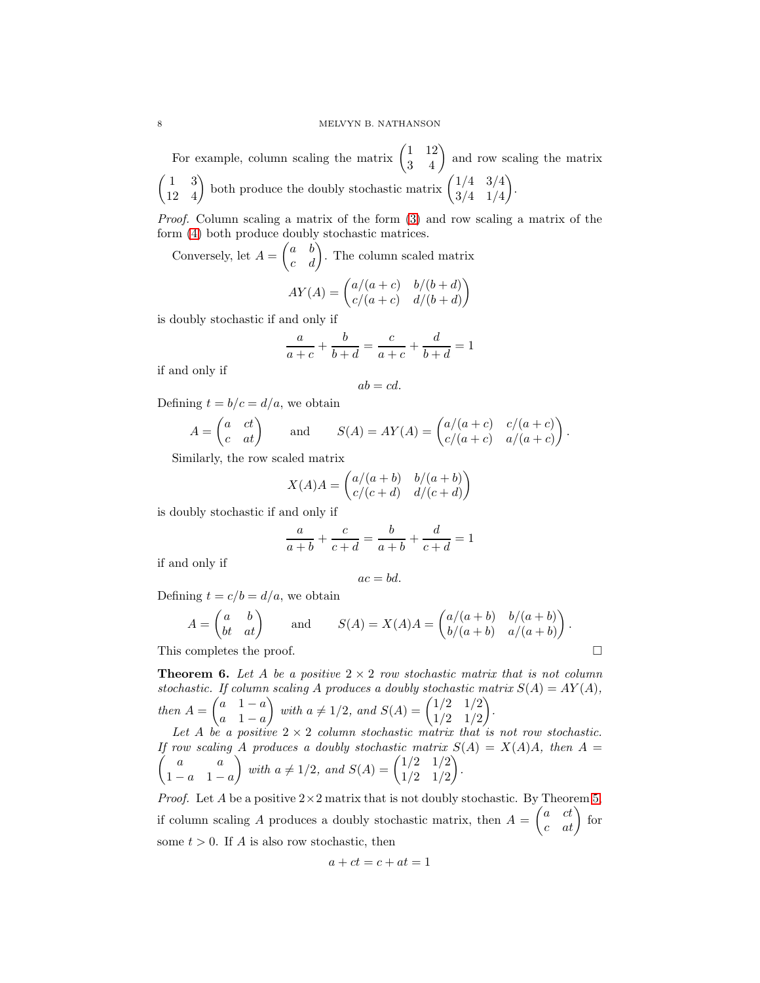For example, column scaling the matrix  $\begin{pmatrix} 1 & 12 \\ 3 & 4 \end{pmatrix}$  and row scaling the matrix  $\begin{pmatrix} 1 & 3 \\ 12 & 4 \end{pmatrix}$  both produce the doubly stochastic matrix  $\begin{pmatrix} 1/4 & 3/4 \\ 3/4 & 1/4 \end{pmatrix}$ 3/4 1/4 .

*Proof.* Column scaling a matrix of the form [\(3\)](#page-6-1) and row scaling a matrix of the form [\(4\)](#page-6-2) both produce doubly stochastic matrices.

Conversely, let  $A = \begin{pmatrix} a & b \\ c & d \end{pmatrix}$ . The column scaled matrix

$$
AY(A) = \begin{pmatrix} a/(a+c) & b/(b+d) \\ c/(a+c) & d/(b+d) \end{pmatrix}
$$

is doubly stochastic if and only if

$$
\frac{a}{a+c} + \frac{b}{b+d} = \frac{c}{a+c} + \frac{d}{b+d} = 1
$$

if and only if

$$
ab=cd.
$$

Defining  $t = b/c = d/a$ , we obtain

$$
A = \begin{pmatrix} a & ct \\ c & at \end{pmatrix} \quad \text{and} \quad S(A) = AY(A) = \begin{pmatrix} a/(a+c) & c/(a+c) \\ c/(a+c) & a/(a+c) \end{pmatrix}.
$$

Similarly, the row scaled matrix

$$
X(A)A = \begin{pmatrix} a/(a+b) & b/(a+b) \\ c/(c+d) & d/(c+d) \end{pmatrix}
$$

is doubly stochastic if and only if

$$
\frac{a}{a+b} + \frac{c}{c+d} = \frac{b}{a+b} + \frac{d}{c+d} = 1
$$

if and only if

$$
ac = bd.
$$

Defining  $t = c/b = d/a$ , we obtain

$$
A = \begin{pmatrix} a & b \\ bt & at \end{pmatrix} \quad \text{and} \quad S(A) = X(A)A = \begin{pmatrix} a/(a+b) & b/(a+b) \\ b/(a+b) & a/(a+b) \end{pmatrix}.
$$

This completes the proof.

<span id="page-7-0"></span>**Theorem 6.** Let A be a positive  $2 \times 2$  *row stochastic matrix that is not column stochastic.* If column scaling A produces a doubly stochastic matrix  $S(A) = AY(A)$ , *then*  $A = \begin{pmatrix} a & 1 - a \\ a & 1 - a \end{pmatrix}$  $a \quad 1-a$ *with*  $a \neq 1/2$ *, and*  $S(A) = \begin{pmatrix} 1/2 & 1/2 \\ 1/2 & 1/2 \end{pmatrix}$ 1/2 1/2 *.*

Let A be a positive  $2 \times 2$  *column stochastic matrix that is not row stochastic.*  $\sqrt{ }$ If row scaling A produces a doubly stochastic matrix  $S(A) = X(A)A$ , then  $A =$ a a  $1 - a \quad 1 - a$ *with*  $a \neq 1/2$ *, and*  $S(A) = \begin{pmatrix} 1/2 & 1/2 \\ 1/2 & 1/2 \end{pmatrix}$ 1/2 1/2 *.*

*Proof.* Let A be a positive  $2 \times 2$  matrix that is not doubly stochastic. By Theorem [5,](#page-6-3) if column scaling A produces a doubly stochastic matrix, then  $A = \begin{pmatrix} a & ct \\ c & at \end{pmatrix}$  for some  $t > 0$ . If A is also row stochastic, then

$$
a + ct = c + at = 1
$$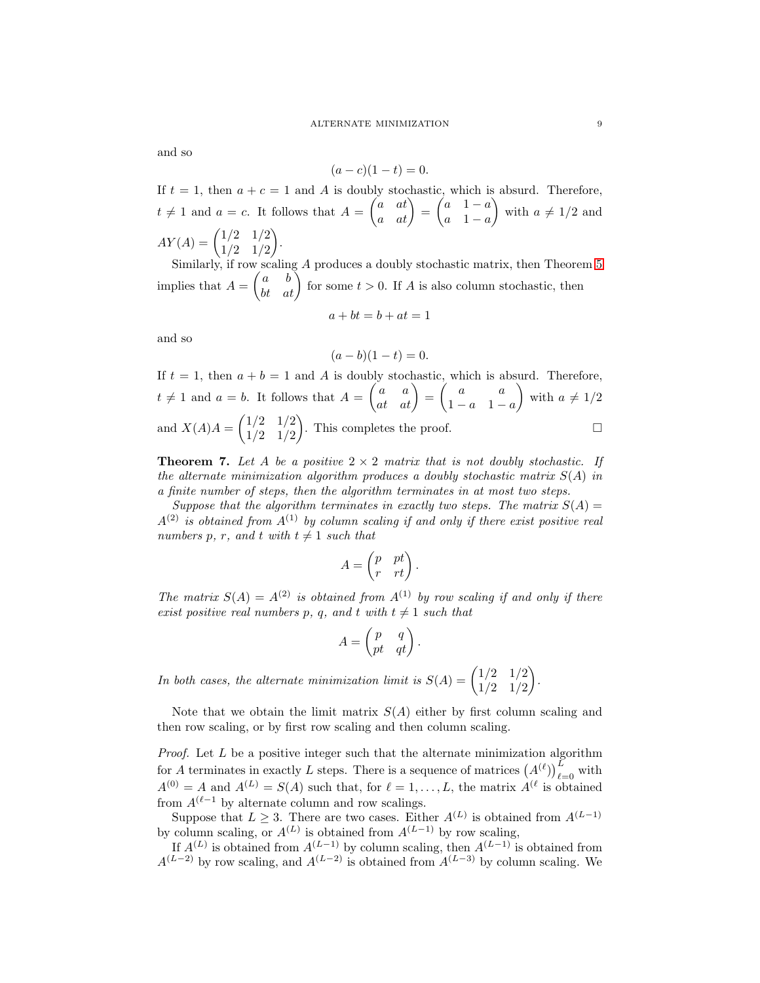and so

$$
(a-c)(1-t) = 0.
$$

If  $t = 1$ , then  $a + c = 1$  and A is doubly stochastic, which is absurd. Therefore,  $t \neq 1$  and  $a = c$ . It follows that  $A = \begin{pmatrix} a & at \\ a & at \end{pmatrix} = \begin{pmatrix} a & 1-a \\ a & 1-a \end{pmatrix}$  $a \quad 1-a$ with  $a \neq 1/2$  and  $AY(A) = \begin{pmatrix} 1/2 & 1/2 \\ 1/2 & 1/2 \end{pmatrix}$ 1/2 1/2 .

Similarly, if row scaling A produces a doubly stochastic matrix, then Theorem [5](#page-6-3) implies that  $A = \begin{pmatrix} a & b \\ bt & at \end{pmatrix}$  for some  $t > 0$ . If A is also column stochastic, then  $a + bt = b + at = 1$ 

$$
a + \nu \iota = \nu + a \iota
$$

and so

$$
(a - b)(1 - t) = 0.
$$

If  $t = 1$ , then  $a + b = 1$  and A is doubly stochastic, which is absurd. Therefore,  $t \neq 1$  and  $a = b$ . It follows that  $A = \begin{pmatrix} a & a \\ at & at \end{pmatrix} = \begin{pmatrix} a & a \\ 1 - a & 1 \end{pmatrix}$  $1 - a \quad 1 - a$ with  $a \neq 1/2$ and  $X(A)A = \begin{pmatrix} 1/2 & 1/2 \\ 1/2 & 1/2 \end{pmatrix}$ 1/2 1/2 ). This completes the proof.  $\square$ 

**Theorem 7.** Let A be a positive  $2 \times 2$  matrix that is not doubly stochastic. If *the alternate minimization algorithm produces a doubly stochastic matrix* S(A) *in a finite number of steps, then the algorithm terminates in at most two steps.*

*Suppose that the algorithm terminates in exactly two steps. The matrix*  $S(A)$  =  $A^{(2)}$  is obtained from  $A^{(1)}$  by column scaling if and only if there exist positive real *numbers* p, r, and t with  $t \neq 1$  *such that* 

$$
A = \begin{pmatrix} p & pt \\ r & rt \end{pmatrix}.
$$

*The matrix*  $S(A) = A^{(2)}$  *is obtained from*  $A^{(1)}$  *by row scaling if and only if there exist positive real numbers* p, q, and t with  $t \neq 1$  *such that* 

$$
A = \begin{pmatrix} p & q \\ pt & qt \end{pmatrix}.
$$

*In both cases, the alternate minimization limit is*  $S(A) = \begin{pmatrix} 1/2 & 1/2 \\ 1/2 & 1/2 \end{pmatrix}$ 1/2 1/2 *.*

Note that we obtain the limit matrix  $S(A)$  either by first column scaling and then row scaling, or by first row scaling and then column scaling.

*Proof.* Let L be a positive integer such that the alternate minimization algorithm for A terminates in exactly L steps. There is a sequence of matrices  $(A^{(\ell)})_{\ell=0}^L$  with  $A^{(0)} = A$  and  $A^{(L)} = S(A)$  such that, for  $\ell = 1, \ldots, L$ , the matrix  $A^{(\ell)}$  is obtained from  $A^{(\ell-1)}$  by alternate column and row scalings.

Suppose that  $L \geq 3$ . There are two cases. Either  $A^{(L)}$  is obtained from  $A^{(L-1)}$ by column scaling, or  $A^{(L)}$  is obtained from  $A^{(L-1)}$  by row scaling,

If  $A^{(L)}$  is obtained from  $A^{(L-1)}$  by column scaling, then  $A^{(L-1)}$  is obtained from  $A^{(L-2)}$  by row scaling, and  $A^{(L-2)}$  is obtained from  $A^{(L-3)}$  by column scaling. We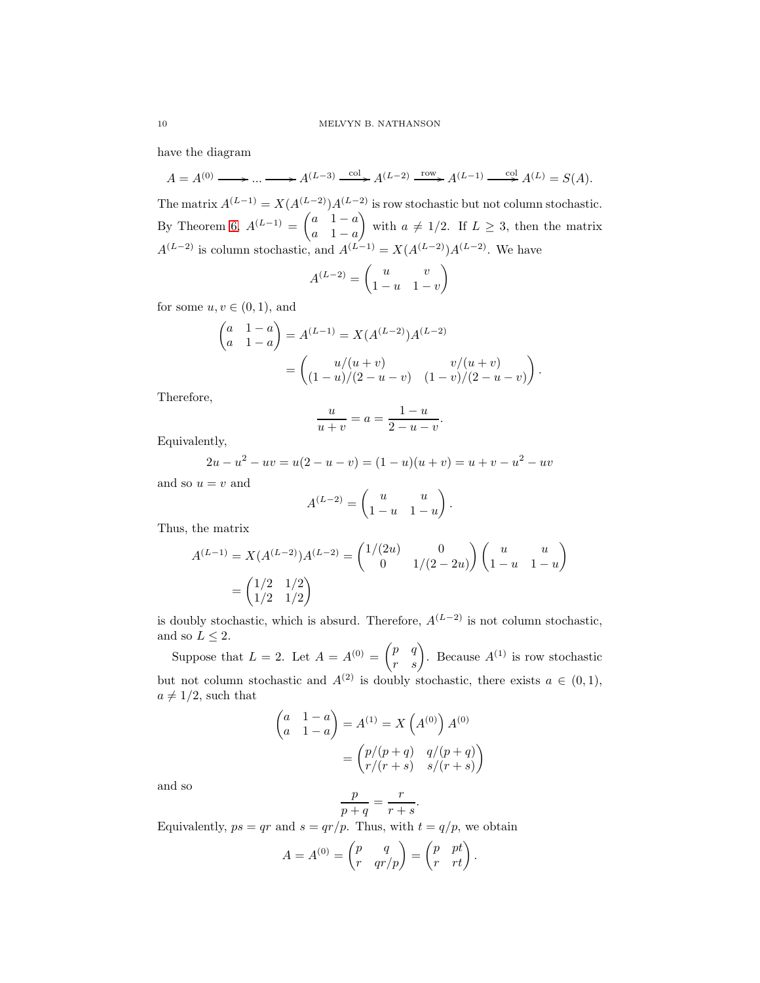have the diagram

 $A = A^{(0)} \longrightarrow \dots \longrightarrow A^{(L-3)} \xrightarrow{\text{col}} A^{(L-2)} \xrightarrow{\text{row}} A^{(L-1)} \xrightarrow{\text{col}} A^{(L)} = S(A).$ 

The matrix  $A^{(L-1)} = X(A^{(L-2)})A^{(L-2)}$  is row stochastic but not column stochastic. By Theorem [6,](#page-7-0)  $A^{(L-1)} = \begin{pmatrix} a & 1-a \\ a & 1-a \end{pmatrix}$  $a \quad 1-a$ with  $a \neq 1/2$ . If  $L \geq 3$ , then the matrix  $A^{(L-2)}$  is column stochastic, and  $A^{(L-1)} = X(A^{(L-2)})A^{(L-2)}$ . We have

$$
A^{(L-2)} = \begin{pmatrix} u & v \\ 1-u & 1-v \end{pmatrix}
$$

for some  $u, v \in (0, 1)$ , and

$$
\begin{pmatrix} a & 1 - a \ a & 1 - a \end{pmatrix} = A^{(L-1)} = X(A^{(L-2)})A^{(L-2)}
$$

$$
= \begin{pmatrix} u/(u+v) & v/(u+v) \\ (1-u)/(2-u-v) & (1-v)/(2-u-v) \end{pmatrix}.
$$

Therefore,

$$
\frac{u}{u+v} = a = \frac{1-u}{2-u-v}
$$

.

Equivalently,

$$
2u - u2 - uv = u(2 - u - v) = (1 - u)(u + v) = u + v - u2 - uv
$$

and so  $u = v$  and

$$
A^{(L-2)} = \begin{pmatrix} u & u \\ 1-u & 1-u \end{pmatrix}.
$$

Thus, the matrix

$$
A^{(L-1)} = X(A^{(L-2)})A^{(L-2)} = \begin{pmatrix} 1/(2u) & 0 \\ 0 & 1/(2-2u) \end{pmatrix} \begin{pmatrix} u & u \\ 1-u & 1-u \end{pmatrix}
$$

$$
= \begin{pmatrix} 1/2 & 1/2 \\ 1/2 & 1/2 \end{pmatrix}
$$

is doubly stochastic, which is absurd. Therefore,  $A^{(L-2)}$  is not column stochastic, and so  $L \leq 2$ .

Suppose that  $L = 2$ . Let  $A = A^{(0)} = \begin{pmatrix} p & q \\ r & s \end{pmatrix}$ . Because  $A^{(1)}$  is row stochastic but not column stochastic and  $A^{(2)}$  is doubly stochastic, there exists  $a \in (0,1)$ ,  $a \neq 1/2$ , such that

$$
\begin{pmatrix} a & 1 - a \\ a & 1 - a \end{pmatrix} = A^{(1)} = X \left( A^{(0)} \right) A^{(0)}
$$
\n
$$
= \begin{pmatrix} p/(p+q) & q/(p+q) \\ r/(r+s) & s/(r+s) \end{pmatrix}
$$

and so

$$
\frac{p}{p+q} = \frac{r}{r+s}.
$$

Equivalently,  $ps = qr$  and  $s = qr/p$ . Thus, with  $t = q/p$ , we obtain

$$
A = A^{(0)} = \begin{pmatrix} p & q \\ r & qr/p \end{pmatrix} = \begin{pmatrix} p & pt \\ r & rt \end{pmatrix}.
$$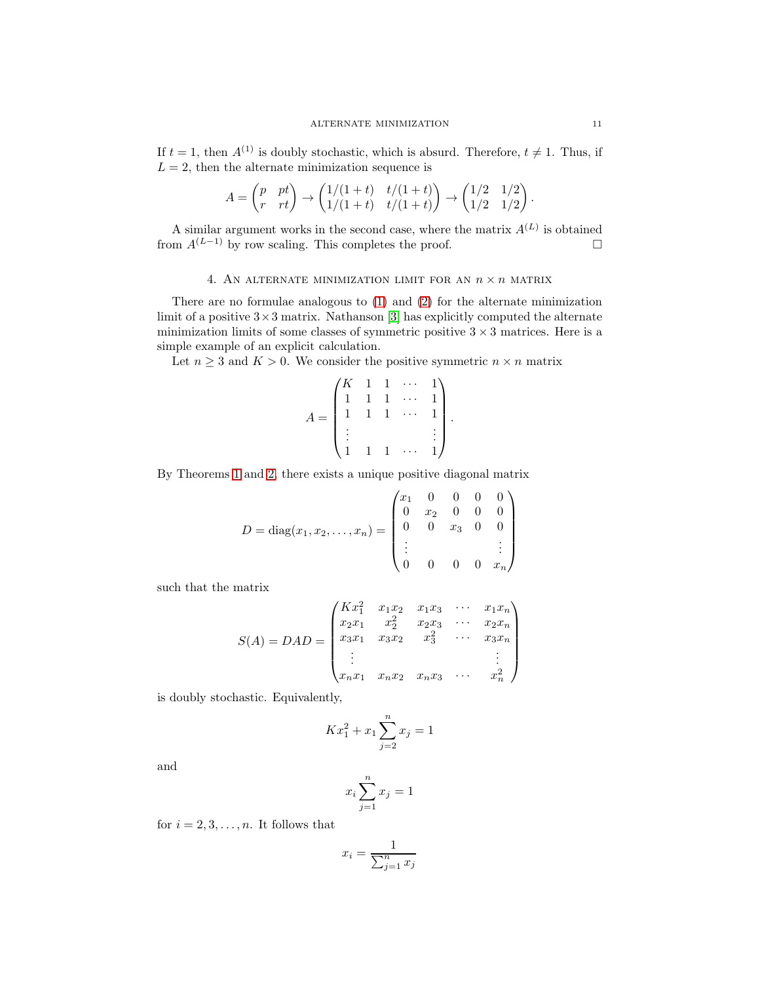If  $t = 1$ , then  $A^{(1)}$  is doubly stochastic, which is absurd. Therefore,  $t \neq 1$ . Thus, if  $L = 2$ , then the alternate minimization sequence is

$$
A = \begin{pmatrix} p & pt \\ r & rt \end{pmatrix} \rightarrow \begin{pmatrix} 1/(1+t) & t/(1+t) \\ 1/(1+t) & t/(1+t) \end{pmatrix} \rightarrow \begin{pmatrix} 1/2 & 1/2 \\ 1/2 & 1/2 \end{pmatrix}.
$$

A similar argument works in the second case, where the matrix  $A^{(L)}$  is obtained from  $A^{(L-1)}$  by row scaling. This completes the proof.  $□$ 

# 4. AN ALTERNATE MINIMIZATION LIMIT FOR AN  $n\times n$  MATRIX

There are no formulae analogous to [\(1\)](#page-4-1) and [\(2\)](#page-4-2) for the alternate minimization limit of a positive  $3 \times 3$  matrix. Nathanson [\[3\]](#page-13-3) has explicitly computed the alternate minimization limits of some classes of symmetric positive  $3 \times 3$  matrices. Here is a simple example of an explicit calculation.

Let  $n \geq 3$  and  $K > 0$ . We consider the positive symmetric  $n \times n$  matrix

$$
A = \begin{pmatrix} K & 1 & 1 & \cdots & 1 \\ 1 & 1 & 1 & \cdots & 1 \\ 1 & 1 & 1 & \cdots & 1 \\ \vdots & & & & \vdots \\ 1 & 1 & 1 & \cdots & 1 \end{pmatrix}.
$$

By Theorems [1](#page-2-0) and [2,](#page-2-1) there exists a unique positive diagonal matrix

$$
D = \text{diag}(x_1, x_2, \dots, x_n) = \begin{pmatrix} x_1 & 0 & 0 & 0 & 0 \\ 0 & x_2 & 0 & 0 & 0 \\ 0 & 0 & x_3 & 0 & 0 \\ \vdots & & & & \vdots \\ 0 & 0 & 0 & 0 & x_n \end{pmatrix}
$$

such that the matrix

$$
S(A) = DAD = \begin{pmatrix} Kx_1^2 & x_1x_2 & x_1x_3 & \cdots & x_1x_n \\ x_2x_1 & x_2^2 & x_2x_3 & \cdots & x_2x_n \\ x_3x_1 & x_3x_2 & x_3^2 & \cdots & x_3x_n \\ \vdots & & & & \vdots \\ x_nx_1 & x_nx_2 & x_nx_3 & \cdots & x_n^2 \end{pmatrix}
$$

is doubly stochastic. Equivalently,

$$
Kx_1^2 + x_1 \sum_{j=2}^n x_j = 1
$$

and

$$
x_i \sum_{j=1}^n x_j = 1
$$

for  $i = 2, 3, \ldots, n$ . It follows that

$$
x_i = \frac{1}{\sum_{j=1}^n x_j}
$$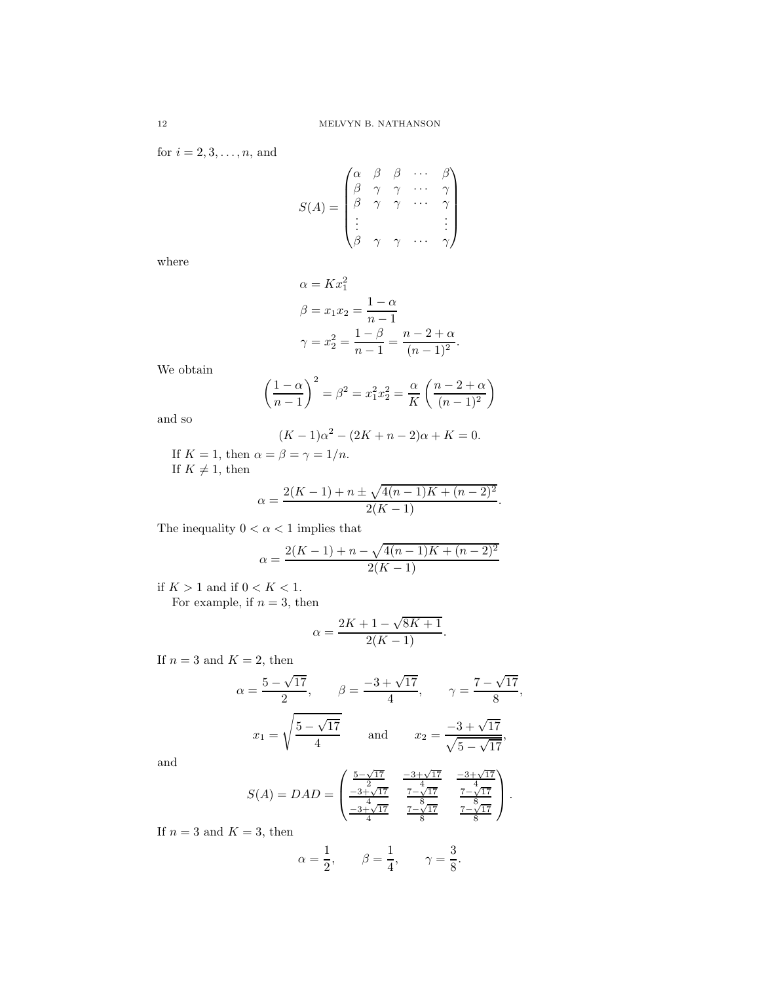for  $i = 2, 3, \ldots, n$ , and

$$
S(A) = \begin{pmatrix} \alpha & \beta & \beta & \cdots & \beta \\ \beta & \gamma & \gamma & \cdots & \gamma \\ \beta & \gamma & \gamma & \cdots & \gamma \\ \vdots & & & & \vdots \\ \beta & \gamma & \gamma & \cdots & \gamma \end{pmatrix}
$$

where

$$
\alpha = Kx_1^2
$$
  
\n
$$
\beta = x_1x_2 = \frac{1-\alpha}{n-1}
$$
  
\n
$$
\gamma = x_2^2 = \frac{1-\beta}{n-1} = \frac{n-2+\alpha}{(n-1)^2}.
$$

We obtain

$$
\left(\frac{1-\alpha}{n-1}\right)^2 = \beta^2 = x_1^2 x_2^2 = \frac{\alpha}{K} \left(\frac{n-2+\alpha}{(n-1)^2}\right)
$$

and so

$$
(K-1)\alpha^2 - (2K + n - 2)\alpha + K = 0.
$$

If  $K = 1$ , then  $\alpha = \beta = \gamma = 1/n$ . If  $K \neq 1$ , then

$$
\alpha = \frac{2(K-1) + n \pm \sqrt{4(n-1)K + (n-2)^2}}{2(K-1)}.
$$

The inequality  $0 < \alpha < 1$  implies that

$$
\alpha = \frac{2(K-1) + n - \sqrt{4(n-1)K + (n-2)^2}}{2(K-1)}
$$

if  $K>1$  and if  $0 < K < 1.$ For example, if  $n = 3$ , then

$$
\alpha = \frac{2K + 1 - \sqrt{8K + 1}}{2(K - 1)}.
$$

If  $n = 3$  and  $K = 2$ , then

$$
\alpha = \frac{5 - \sqrt{17}}{2}, \qquad \beta = \frac{-3 + \sqrt{17}}{4}, \qquad \gamma = \frac{7 - \sqrt{17}}{8},
$$

$$
x_1 = \sqrt{\frac{5 - \sqrt{17}}{4}} \qquad \text{and} \qquad x_2 = \frac{-3 + \sqrt{17}}{\sqrt{5 - \sqrt{17}}},
$$

and

$$
S(A) = DAD = \begin{pmatrix} \frac{5-\sqrt{17}}{2} & \frac{-3+\sqrt{17}}{4} & \frac{-3+\sqrt{17}}{4} \\ \frac{-3+\sqrt{17}}{4} & \frac{7-\sqrt{17}}{4} & \frac{7-\sqrt{17}}{4} \\ \frac{-3+\sqrt{17}}{4} & \frac{7-8\sqrt{17}}{4} & \frac{7-\sqrt{17}}{8} \end{pmatrix}.
$$

If  $n = 3$  and  $K = 3$ , then

$$
\alpha=\frac{1}{2},\qquad \beta=\frac{1}{4},\qquad \gamma=\frac{3}{8}.
$$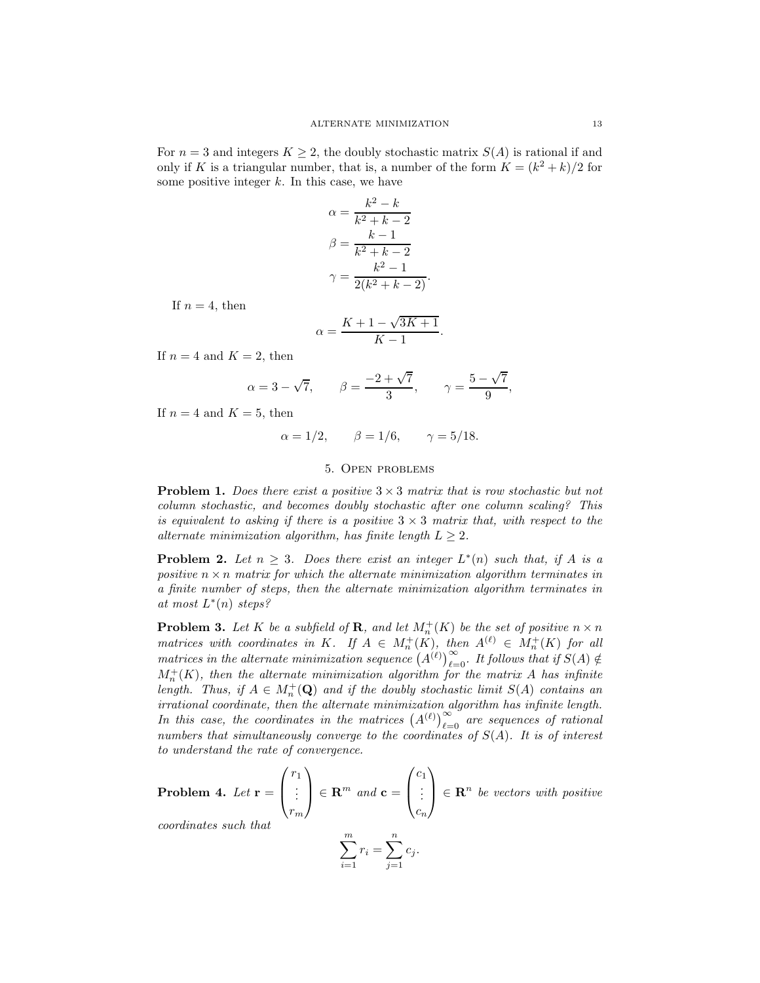For  $n = 3$  and integers  $K \geq 2$ , the doubly stochastic matrix  $S(A)$  is rational if and only if K is a triangular number, that is, a number of the form  $K = (k^2 + k)/2$  for some positive integer  $k$ . In this case, we have

$$
\alpha = \frac{k^2 - k}{k^2 + k - 2}
$$

$$
\beta = \frac{k - 1}{k^2 + k - 2}
$$

$$
\gamma = \frac{k^2 - 1}{2(k^2 + k - 2)}.
$$

If  $n = 4$ , then

$$
\alpha = \frac{K + 1 - \sqrt{3K + 1}}{K - 1}.
$$

If  $n = 4$  and  $K = 2$ , then

$$
\alpha = 3 - \sqrt{7},
$$
\n $\beta = \frac{-2 + \sqrt{7}}{3},$ \n $\gamma = \frac{5 - \sqrt{7}}{9},$ 

If  $n = 4$  and  $K = 5$ , then

$$
\alpha = 1/2, \quad \beta = 1/6, \quad \gamma = 5/18.
$$

### 5. Open problems

Problem 1. *Does there exist a positive* 3 × 3 *matrix that is row stochastic but not column stochastic, and becomes doubly stochastic after one column scaling? This is equivalent to asking if there is a positive*  $3 \times 3$  *matrix that, with respect to the alternate minimization algorithm, has finite length*  $L \geq 2$ *.* 

**Problem 2.** Let  $n \geq 3$ . Does there exist an integer  $L^*(n)$  such that, if A is a *positive*  $n \times n$  *matrix for which the alternate minimization algorithm terminates in a finite number of steps, then the alternate minimization algorithm terminates in at most* L ∗ (n) *steps?*

**Problem 3.** Let K be a subfield of **R**, and let  $M_n^+(K)$  be the set of positive  $n \times n$ *matrices with coordinates in* K*.* If  $A \in M_n^+(K)$ , then  $A^{(\ell)} \in M_n^+(K)$  for all *matrices in the alternate minimization sequence*  $(A^{(\ell)})_{\ell=0}^{\infty}$ . It follows that if  $S(A) \notin$  $M_n^+(K)$ , then the alternate minimization algorithm for the matrix A has infinite *length.* Thus, if  $A \in M_n^+(\mathbf{Q})$  and if the doubly stochastic limit  $S(A)$  *contains an irrational coordinate, then the alternate minimization algorithm has infinite length. In this case, the coordinates in the matrices*  $(A^{(\ell)})_{\ell=0}^{\infty}$  *are sequences of rational numbers that simultaneously converge to the coordinates of* S(A)*. It is of interest to understand the rate of convergence.*

Problem 4. *Let* r =  $\sqrt{ }$  $\overline{ }$  $r_1$ *. . .*  $r_m$  $\setminus$  $\Big\} \in \mathbf{R}^m$  and  $\mathbf{c} =$  $\sqrt{ }$  $\overline{ }$  $c_1$ *. . .*  $\overline{c}_n$  $\setminus$  $\Big\} \in \mathbb{R}^n$  be vectors with positive *coordinates such that*

$$
\sum_{i=1}^{m} r_i = \sum_{j=1}^{n} c_j.
$$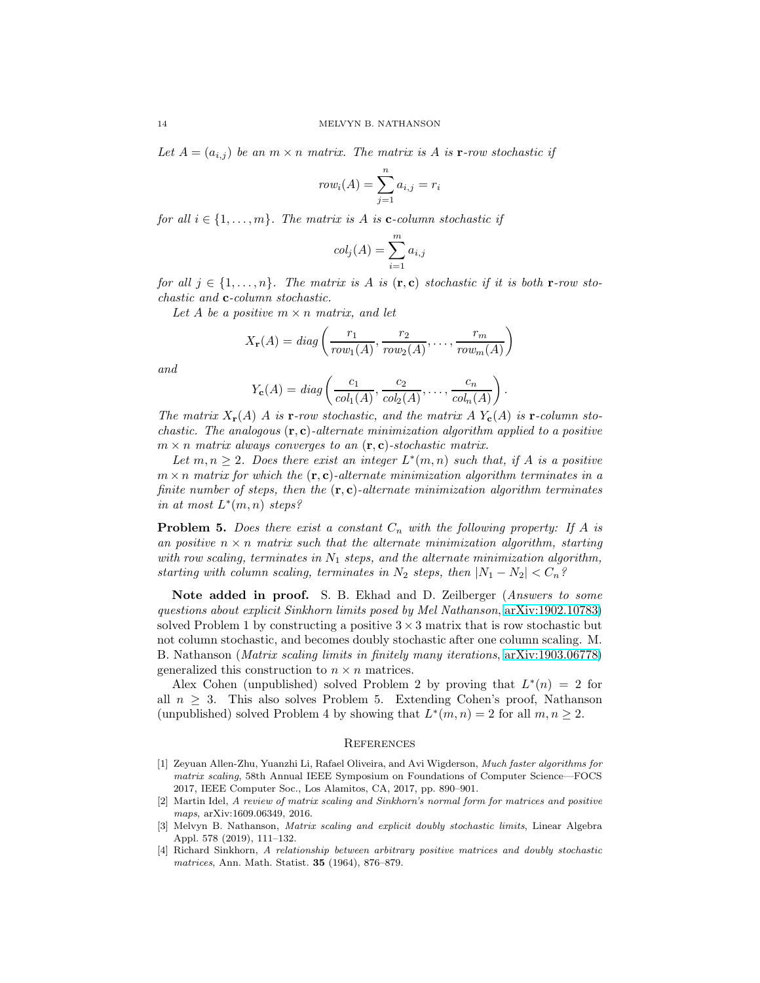Let  $A = (a_{i,j})$  be an  $m \times n$  *matrix. The matrix is* A *is* **r**-row stochastic if

$$
row_i(A) = \sum_{j=1}^n a_{i,j} = r_i
$$

*for all*  $i \in \{1, \ldots, m\}$ *. The matrix is* A *is* **c**-column stochastic if

$$
col_j(A) = \sum_{i=1}^{m} a_{i,j}
$$

*for all*  $j \in \{1, \ldots, n\}$ . The matrix is A is  $(\mathbf{r}, \mathbf{c})$  stochastic if it is both **r**-row sto*chastic and* c*-column stochastic.*

Let A be a positive  $m \times n$  matrix, and let

$$
X_{\mathbf{r}}(A) = diag\left(\frac{r_1}{row_1(A)}, \frac{r_2}{row_2(A)}, \dots, \frac{r_m}{row_m(A)}\right)
$$

*and*

$$
Y_{\mathbf{c}}(A) = diag\left(\frac{c_1}{col_1(A)}, \frac{c_2}{col_2(A)}, \dots, \frac{c_n}{col_n(A)}\right).
$$

*The matrix*  $X_{\mathbf{r}}(A)$  A *is*  $\mathbf{r}$ *-row stochastic, and the matrix* A  $Y_{\mathbf{c}}(A)$  *is*  $\mathbf{r}$ *-column stochastic. The analogous* (r, c)*-alternate minimization algorithm applied to a positive*  $m \times n$  *matrix always converges to an*  $(\mathbf{r}, \mathbf{c})$ -stochastic matrix.

Let  $m, n \geq 2$ . Does there exist an integer  $L^*(m, n)$  such that, if A is a positive  $m \times n$  *matrix for which the*  $(\mathbf{r}, \mathbf{c})$ *-alternate minimization algorithm terminates in a finite number of steps, then the*  $(\mathbf{r}, \mathbf{c})$ *-alternate minimization algorithm terminates in at most* L ∗ (m, n) *steps?*

**Problem 5.** *Does there exist a constant*  $C_n$  *with the following property: If* A *is an positive*  $n \times n$  *matrix such that the alternate minimization algorithm, starting* with row scaling, terminates in  $N_1$  steps, and the alternate minimization algorithm, *starting with column scaling, terminates in*  $N_2$  *steps, then*  $|N_1 - N_2| < C_n$ ?

Note added in proof. S. B. Ekhad and D. Zeilberger (*Answers to some questions about explicit Sinkhorn limits posed by Mel Nathanson*, [arXiv:1902.10783\)](http://arxiv.org/abs/1902.10783) solved Problem 1 by constructing a positive  $3 \times 3$  matrix that is row stochastic but not column stochastic, and becomes doubly stochastic after one column scaling. M. B. Nathanson (*Matrix scaling limits in finitely many iterations*, [arXiv:1903.06778\)](http://arxiv.org/abs/1903.06778) generalized this construction to  $n \times n$  matrices.

Alex Cohen (unpublished) solved Problem 2 by proving that  $L^*(n) = 2$  for all  $n \geq 3$ . This also solves Problem 5. Extending Cohen's proof, Nathanson (unpublished) solved Problem 4 by showing that  $L^*(m, n) = 2$  for all  $m, n \ge 2$ .

### **REFERENCES**

- <span id="page-13-2"></span>[1] Zeyuan Allen-Zhu, Yuanzhi Li, Rafael Oliveira, and Avi Wigderson, Much faster algorithms for matrix scaling, 58th Annual IEEE Symposium on Foundations of Computer Science—FOCS 2017, IEEE Computer Soc., Los Alamitos, CA, 2017, pp. 890–901.
- <span id="page-13-1"></span>[2] Martin Idel, A review of matrix scaling and Sinkhorn's normal form for matrices and positive maps, arXiv:1609.06349, 2016.
- <span id="page-13-3"></span>[3] Melvyn B. Nathanson, Matrix scaling and explicit doubly stochastic limits, Linear Algebra Appl. 578 (2019), 111–132.
- <span id="page-13-0"></span>[4] Richard Sinkhorn, A relationship between arbitrary positive matrices and doubly stochastic matrices, Ann. Math. Statist. 35 (1964), 876–879.